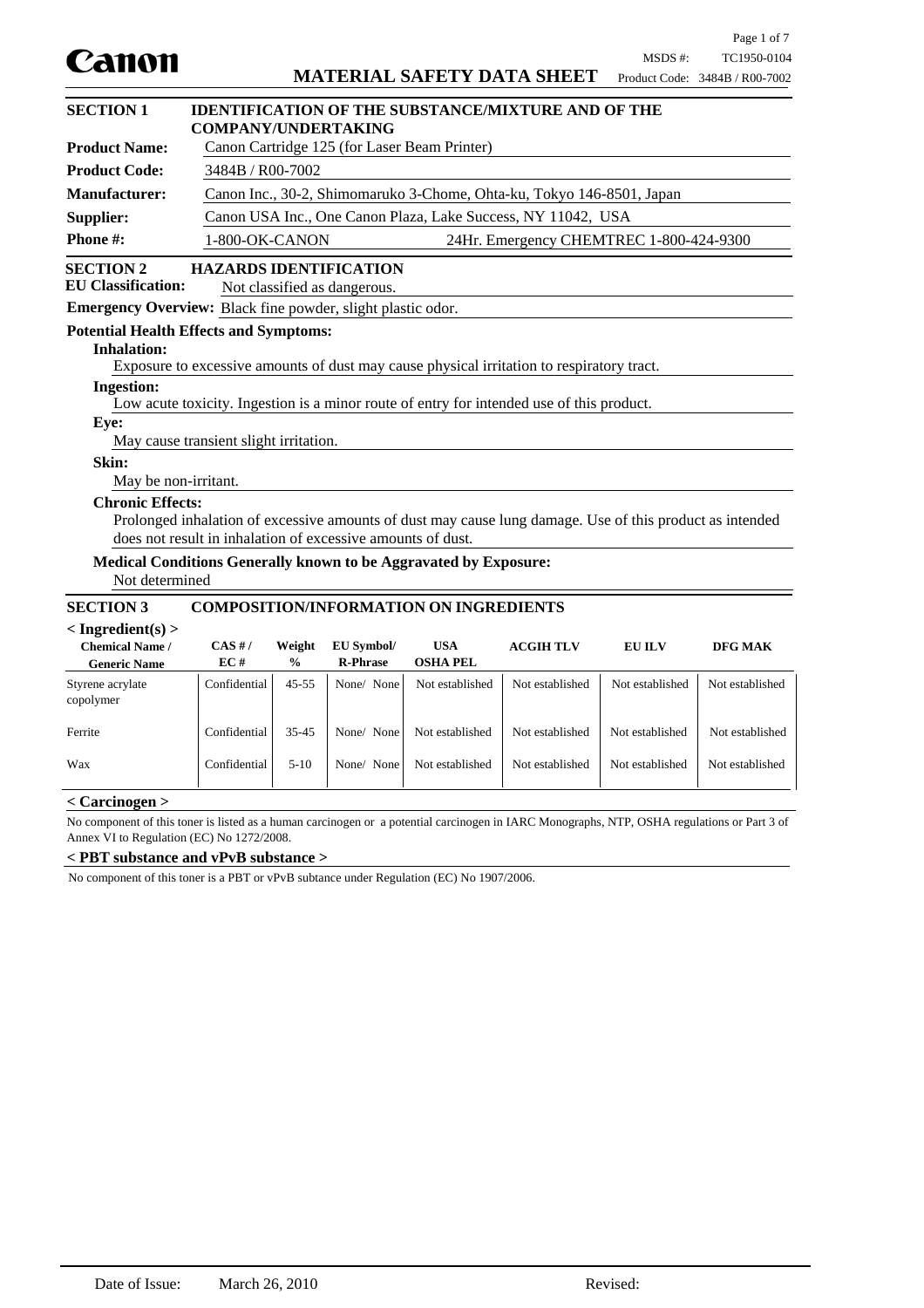|                                                                    |                                                             |                                                              |                               |                                               |                                                                                                          |                 | Page 1 of 7                    |
|--------------------------------------------------------------------|-------------------------------------------------------------|--------------------------------------------------------------|-------------------------------|-----------------------------------------------|----------------------------------------------------------------------------------------------------------|-----------------|--------------------------------|
| Canon                                                              |                                                             |                                                              |                               |                                               |                                                                                                          | MSDS #:         | TC1950-0104                    |
|                                                                    |                                                             |                                                              |                               |                                               | <b>MATERIAL SAFETY DATA SHEET</b>                                                                        |                 | Product Code: 3484B / R00-7002 |
| <b>SECTION 1</b>                                                   |                                                             |                                                              |                               |                                               | <b>IDENTIFICATION OF THE SUBSTANCE/MIXTURE AND OF THE</b>                                                |                 |                                |
|                                                                    | <b>COMPANY/UNDERTAKING</b>                                  |                                                              |                               |                                               |                                                                                                          |                 |                                |
| <b>Product Name:</b>                                               |                                                             |                                                              |                               | Canon Cartridge 125 (for Laser Beam Printer)  |                                                                                                          |                 |                                |
| <b>Product Code:</b>                                               |                                                             | 3484B / R00-7002                                             |                               |                                               |                                                                                                          |                 |                                |
| <b>Manufacturer:</b>                                               |                                                             |                                                              |                               |                                               | Canon Inc., 30-2, Shimomaruko 3-Chome, Ohta-ku, Tokyo 146-8501, Japan                                    |                 |                                |
| Supplier:                                                          |                                                             | Canon USA Inc., One Canon Plaza, Lake Success, NY 11042, USA |                               |                                               |                                                                                                          |                 |                                |
| Phone #:                                                           | 1-800-OK-CANON                                              |                                                              |                               |                                               | 24Hr. Emergency CHEMTREC 1-800-424-9300                                                                  |                 |                                |
| <b>SECTION 2</b>                                                   | <b>HAZARDS IDENTIFICATION</b>                               |                                                              |                               |                                               |                                                                                                          |                 |                                |
| <b>EU Classification:</b>                                          |                                                             |                                                              | Not classified as dangerous.  |                                               |                                                                                                          |                 |                                |
| <b>Emergency Overview:</b> Black fine powder, slight plastic odor. |                                                             |                                                              |                               |                                               |                                                                                                          |                 |                                |
| <b>Potential Health Effects and Symptoms:</b>                      |                                                             |                                                              |                               |                                               |                                                                                                          |                 |                                |
| <b>Inhalation:</b>                                                 |                                                             |                                                              |                               |                                               |                                                                                                          |                 |                                |
|                                                                    |                                                             |                                                              |                               |                                               | Exposure to excessive amounts of dust may cause physical irritation to respiratory tract.                |                 |                                |
| <b>Ingestion:</b>                                                  |                                                             |                                                              |                               |                                               | Low acute toxicity. Ingestion is a minor route of entry for intended use of this product.                |                 |                                |
| Eye:                                                               |                                                             |                                                              |                               |                                               |                                                                                                          |                 |                                |
|                                                                    | May cause transient slight irritation.                      |                                                              |                               |                                               |                                                                                                          |                 |                                |
| <b>Skin:</b>                                                       |                                                             |                                                              |                               |                                               |                                                                                                          |                 |                                |
| May be non-irritant.                                               |                                                             |                                                              |                               |                                               |                                                                                                          |                 |                                |
| <b>Chronic Effects:</b>                                            |                                                             |                                                              |                               |                                               |                                                                                                          |                 |                                |
|                                                                    |                                                             |                                                              |                               |                                               | Prolonged inhalation of excessive amounts of dust may cause lung damage. Use of this product as intended |                 |                                |
|                                                                    | does not result in inhalation of excessive amounts of dust. |                                                              |                               |                                               |                                                                                                          |                 |                                |
| Medical Conditions Generally known to be Aggravated by Exposure:   |                                                             |                                                              |                               |                                               |                                                                                                          |                 |                                |
| Not determined                                                     |                                                             |                                                              |                               |                                               |                                                                                                          |                 |                                |
| <b>SECTION 3</b>                                                   |                                                             |                                                              |                               | <b>COMPOSITION/INFORMATION ON INGREDIENTS</b> |                                                                                                          |                 |                                |
| $\langle$ Ingredient(s) $>$                                        |                                                             |                                                              |                               |                                               |                                                                                                          |                 |                                |
| <b>Chemical Name /</b><br><b>Generic Name</b>                      | $CAS$ #/<br>EC#                                             | Weight<br>$\frac{0}{0}$                                      | EU Symbol/<br><b>R-Phrase</b> | <b>USA</b><br><b>OSHA PEL</b>                 | <b>ACGIHTLV</b>                                                                                          | <b>EU ILV</b>   | <b>DFG MAK</b>                 |
| Styrene acrylate                                                   | Confidential                                                | $45 - 55$                                                    | None/ None                    | Not established                               | Not established                                                                                          | Not established | Not established                |
| copolymer                                                          |                                                             |                                                              |                               |                                               |                                                                                                          |                 |                                |
| Ferrite                                                            | Confidential                                                | $35 - 45$                                                    | None/ None                    | Not established                               | Not established                                                                                          | Not established | Not established                |
| Wax                                                                | Confidential                                                | $5-10$                                                       | None/ None                    | Not established                               | Not established                                                                                          | Not established | Not established                |
| $<$ Carcinogen $>$                                                 |                                                             |                                                              |                               |                                               |                                                                                                          |                 |                                |

No component of this toner is listed as a human carcinogen or a potential carcinogen in IARC Monographs, NTP, OSHA regulations or Part 3 of Annex VI to Regulation (EC) No 1272/2008.

### **< PBT substance and vPvB substance >**

No component of this toner is a PBT or vPvB subtance under Regulation (EC) No 1907/2006.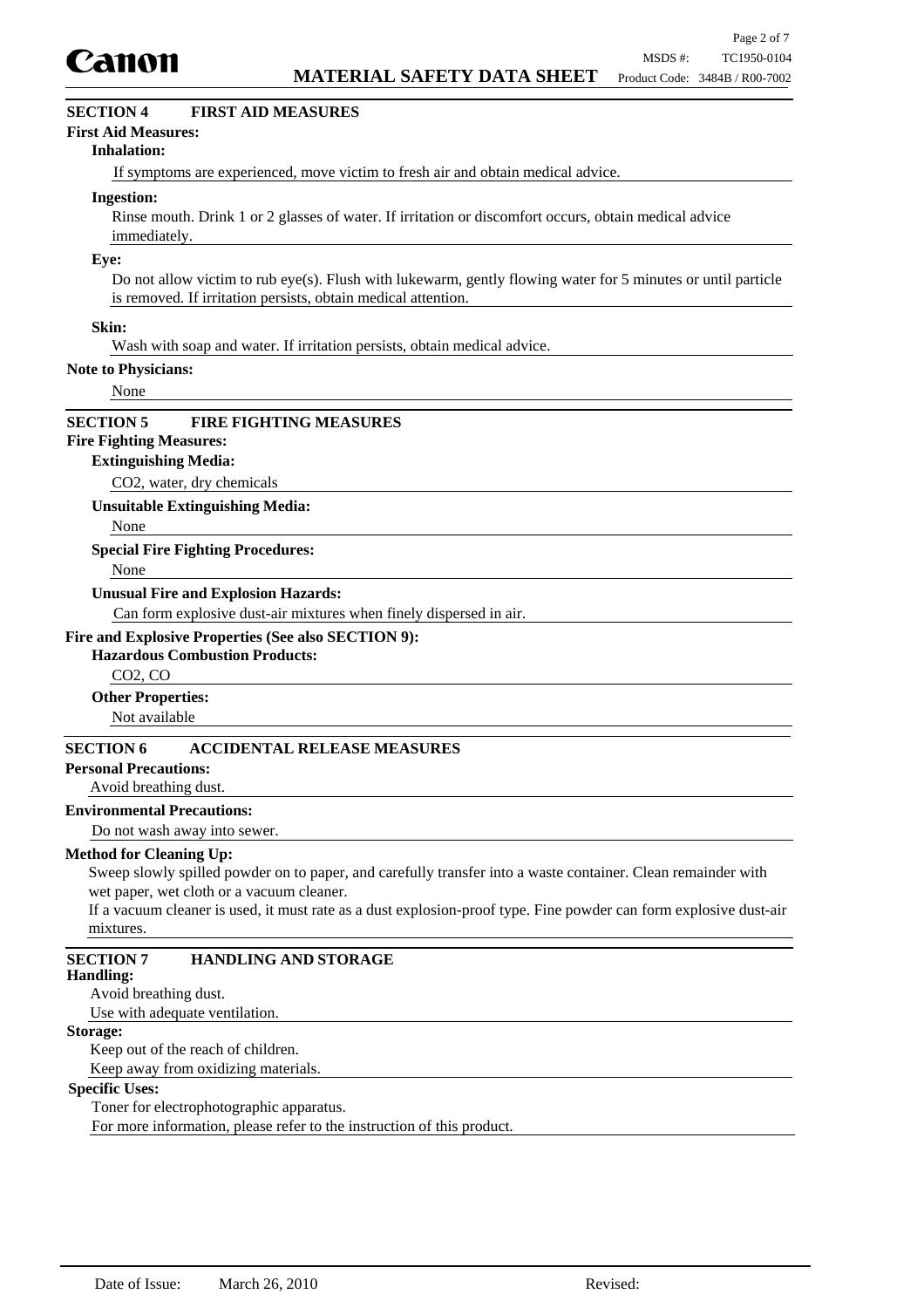

# **SECTION 4 FIRST AID MEASURES**

### **First Aid Measures:**

#### **Inhalation:**

If symptoms are experienced, move victim to fresh air and obtain medical advice.

#### **Ingestion:**

Rinse mouth. Drink 1 or 2 glasses of water. If irritation or discomfort occurs, obtain medical advice immediately.

#### **Eye:**

Do not allow victim to rub eye(s). Flush with lukewarm, gently flowing water for 5 minutes or until particle is removed. If irritation persists, obtain medical attention.

### **Skin:**

Wash with soap and water. If irritation persists, obtain medical advice.

#### **Note to Physicians:**

None

## **SECTION 5 FIRE FIGHTING MEASURES**

# **Fire Fighting Measures:**

#### **Extinguishing Media:**

CO2, water, dry chemicals

**Unsuitable Extinguishing Media:**

None

#### **Special Fire Fighting Procedures:**

None

#### **Unusual Fire and Explosion Hazards:**

Can form explosive dust-air mixtures when finely dispersed in air.

### **Fire and Explosive Properties (See also SECTION 9):**

## **Hazardous Combustion Products:**

CO2, CO

**Other Properties:**

Not available

# **SECTION 6 ACCIDENTAL RELEASE MEASURES**

### **Personal Precautions:**

Avoid breathing dust.

### **Environmental Precautions:**

Do not wash away into sewer.

#### **Method for Cleaning Up:**

Sweep slowly spilled powder on to paper, and carefully transfer into a waste container. Clean remainder with wet paper, wet cloth or a vacuum cleaner.

If a vacuum cleaner is used, it must rate as a dust explosion-proof type. Fine powder can form explosive dust-air mixtures.

# **SECTION 7 HANDLING AND STORAGE**

#### **Handling:**

Avoid breathing dust.

Use with adequate ventilation.

# **Storage:**

Keep out of the reach of children. Keep away from oxidizing materials.

# **Specific Uses:**

Toner for electrophotographic apparatus.

For more information, please refer to the instruction of this product.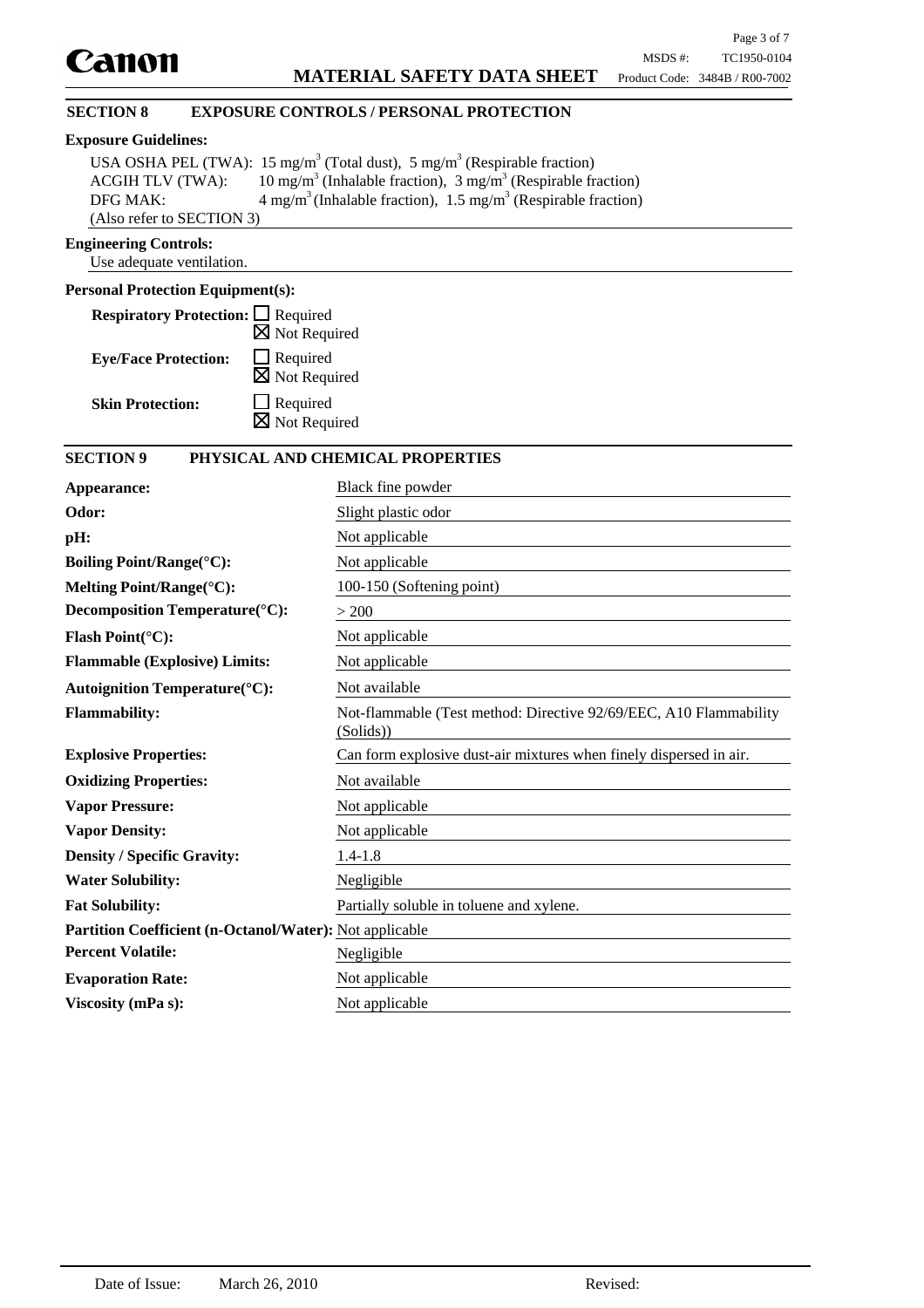# **SECTION 8 EXPOSURE CONTROLS / PERSONAL PROTECTION**

## **Exposure Guidelines:**

|                           | USA OSHA PEL (TWA): 15 mg/m <sup>3</sup> (Total dust), 5 mg/m <sup>3</sup> (Respirable fraction) |
|---------------------------|--------------------------------------------------------------------------------------------------|
| <b>ACGIH TLV (TWA):</b>   | 10 mg/m <sup>3</sup> (Inhalable fraction), 3 mg/m <sup>3</sup> (Respirable fraction)             |
| DFG MAK:                  | $4 \text{ mg/m}^3$ (Inhalable fraction), 1.5 mg/m <sup>3</sup> (Respirable fraction)             |
| (Also refer to SECTION 3) |                                                                                                  |

# **Engineering Controls:**

Use adequate ventilation.

# **Personal Protection Equipment(s):**

| <b>Respiratory Protection:</b> □ Required |                          |
|-------------------------------------------|--------------------------|
|                                           | $\boxtimes$ Not Required |
| <b>Eye/Face Protection:</b>               | $\Box$ Required          |
|                                           | $\boxtimes$ Not Required |
| <b>Skin Protection:</b>                   | $\Box$ Required          |
|                                           | $\boxtimes$ Not Required |

# **SECTION 9 PHYSICAL AND CHEMICAL PROPERTIES**

| Appearance:                                             | Black fine powder                                                              |
|---------------------------------------------------------|--------------------------------------------------------------------------------|
| Odor:                                                   | Slight plastic odor                                                            |
| pH:                                                     | Not applicable                                                                 |
| <b>Boiling Point/Range(°C):</b>                         | Not applicable                                                                 |
| Melting Point/Range(°C):                                | 100-150 (Softening point)                                                      |
| Decomposition Temperature(°C):                          | > 200                                                                          |
| <b>Flash Point(°C):</b>                                 | Not applicable                                                                 |
| <b>Flammable (Explosive) Limits:</b>                    | Not applicable                                                                 |
| <b>Autoignition Temperature(°C):</b>                    | Not available                                                                  |
| <b>Flammability:</b>                                    | Not-flammable (Test method: Directive 92/69/EEC, A10 Flammability<br>(Solids)) |
| <b>Explosive Properties:</b>                            | Can form explosive dust-air mixtures when finely dispersed in air.             |
| <b>Oxidizing Properties:</b>                            | Not available                                                                  |
| <b>Vapor Pressure:</b>                                  | Not applicable                                                                 |
| <b>Vapor Density:</b>                                   | Not applicable                                                                 |
| <b>Density / Specific Gravity:</b>                      | $1.4 - 1.8$                                                                    |
| <b>Water Solubility:</b>                                | Negligible                                                                     |
| <b>Fat Solubility:</b>                                  | Partially soluble in toluene and xylene.                                       |
| Partition Coefficient (n-Octanol/Water): Not applicable |                                                                                |
| <b>Percent Volatile:</b>                                | Negligible                                                                     |
| <b>Evaporation Rate:</b>                                | Not applicable                                                                 |
| Viscosity (mPa s):                                      | Not applicable                                                                 |
|                                                         |                                                                                |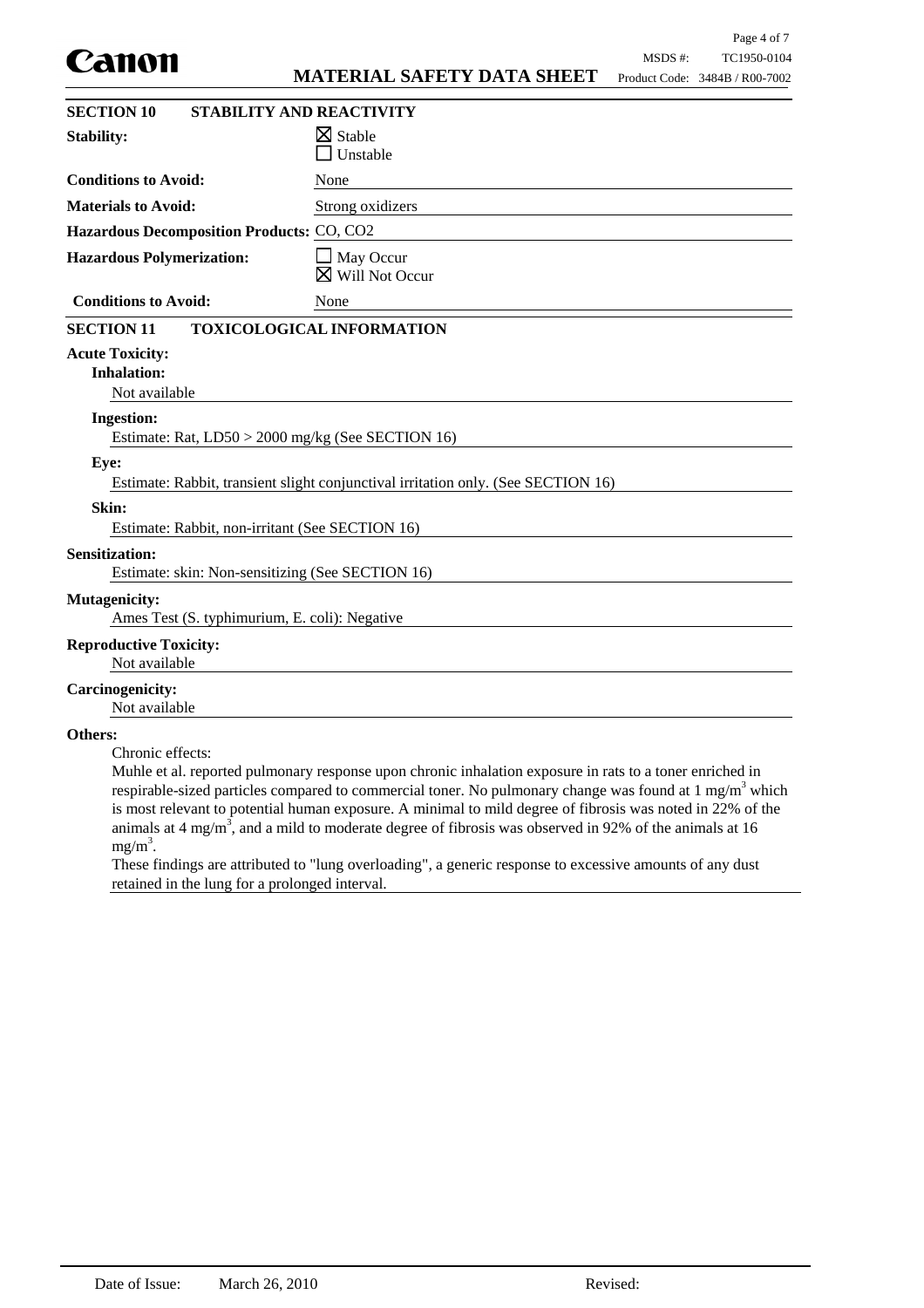|                                                                           |                                                                                                                                                                                                                                                                                                                                                                                                                                                                     |         | Page 4 of 7                    |
|---------------------------------------------------------------------------|---------------------------------------------------------------------------------------------------------------------------------------------------------------------------------------------------------------------------------------------------------------------------------------------------------------------------------------------------------------------------------------------------------------------------------------------------------------------|---------|--------------------------------|
| Canon                                                                     |                                                                                                                                                                                                                                                                                                                                                                                                                                                                     | MSDS #: | TC1950-0104                    |
|                                                                           | <b>MATERIAL SAFETY DATA SHEET</b>                                                                                                                                                                                                                                                                                                                                                                                                                                   |         | Product Code: 3484B / R00-7002 |
| <b>SECTION 10</b>                                                         | <b>STABILITY AND REACTIVITY</b>                                                                                                                                                                                                                                                                                                                                                                                                                                     |         |                                |
| <b>Stability:</b>                                                         | $\boxtimes$ Stable<br>Unstable                                                                                                                                                                                                                                                                                                                                                                                                                                      |         |                                |
| <b>Conditions to Avoid:</b>                                               | None                                                                                                                                                                                                                                                                                                                                                                                                                                                                |         |                                |
| <b>Materials to Avoid:</b>                                                | Strong oxidizers                                                                                                                                                                                                                                                                                                                                                                                                                                                    |         |                                |
| Hazardous Decomposition Products: CO, CO2                                 |                                                                                                                                                                                                                                                                                                                                                                                                                                                                     |         |                                |
| <b>Hazardous Polymerization:</b>                                          | May Occur<br>Will Not Occur                                                                                                                                                                                                                                                                                                                                                                                                                                         |         |                                |
| <b>Conditions to Avoid:</b>                                               | None                                                                                                                                                                                                                                                                                                                                                                                                                                                                |         |                                |
| <b>SECTION 11</b>                                                         | <b>TOXICOLOGICAL INFORMATION</b>                                                                                                                                                                                                                                                                                                                                                                                                                                    |         |                                |
| <b>Acute Toxicity:</b><br><b>Inhalation:</b><br>Not available             |                                                                                                                                                                                                                                                                                                                                                                                                                                                                     |         |                                |
| <b>Ingestion:</b>                                                         |                                                                                                                                                                                                                                                                                                                                                                                                                                                                     |         |                                |
| Estimate: Rat, LD50 > 2000 mg/kg (See SECTION 16)                         |                                                                                                                                                                                                                                                                                                                                                                                                                                                                     |         |                                |
| Eye:                                                                      | Estimate: Rabbit, transient slight conjunctival irritation only. (See SECTION 16)                                                                                                                                                                                                                                                                                                                                                                                   |         |                                |
| Skin:<br>Estimate: Rabbit, non-irritant (See SECTION 16)                  |                                                                                                                                                                                                                                                                                                                                                                                                                                                                     |         |                                |
| <b>Sensitization:</b><br>Estimate: skin: Non-sensitizing (See SECTION 16) |                                                                                                                                                                                                                                                                                                                                                                                                                                                                     |         |                                |
| <b>Mutagenicity:</b><br>Ames Test (S. typhimurium, E. coli): Negative     |                                                                                                                                                                                                                                                                                                                                                                                                                                                                     |         |                                |
| <b>Reproductive Toxicity:</b><br>Not available                            |                                                                                                                                                                                                                                                                                                                                                                                                                                                                     |         |                                |
| <b>Carcinogenicity:</b><br>Not available                                  |                                                                                                                                                                                                                                                                                                                                                                                                                                                                     |         |                                |
| Others:<br>Chronic effects:<br>$mg/m^3$ .                                 | Muhle et al. reported pulmonary response upon chronic inhalation exposure in rats to a toner enriched in<br>respirable-sized particles compared to commercial toner. No pulmonary change was found at $1 \text{ mg/m}^3$ which<br>is most relevant to potential human exposure. A minimal to mild degree of fibrosis was noted in 22% of the<br>animals at 4 mg/m <sup>3</sup> , and a mild to moderate degree of fibrosis was observed in 92% of the animals at 16 |         |                                |

These findings are attributed to "lung overloading", a generic response to excessive amounts of any dust retained in the lung for a prolonged interval.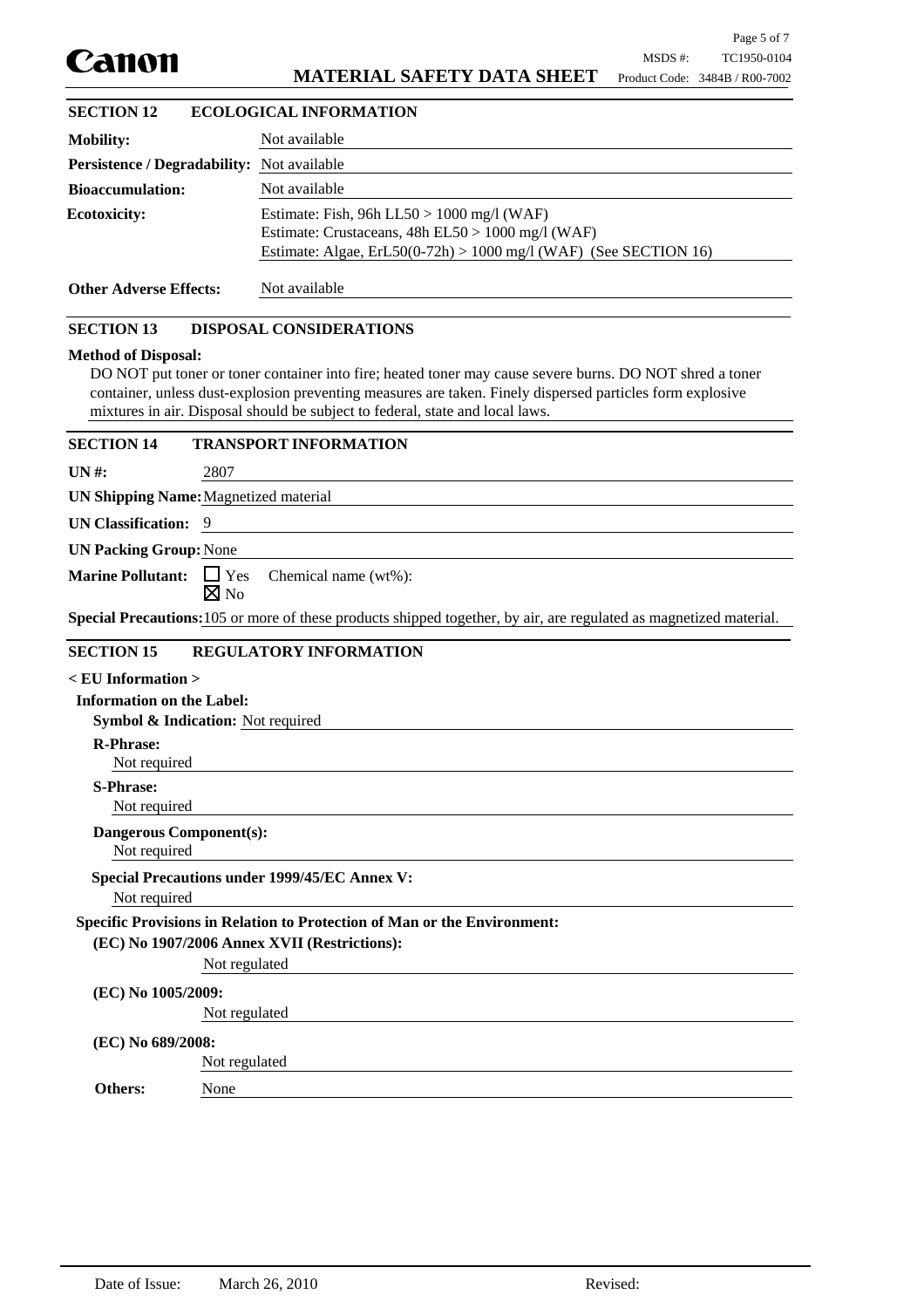| Canon |
|-------|
|-------|

# **MATERIAL SAFETY DATA SHEET**

# **Mobility:** Not available **Persistence / Degradability:** Not available **Bioaccumulation:** Not available Estimate: Fish, 96h LL50 > 1000 mg/l (WAF) Estimate: Crustaceans, 48h EL50 > 1000 mg/l (WAF) Estimate: Algae, ErL50(0-72h) > 1000 mg/l (WAF) (See SECTION 16) **Ecotoxicity: Other Adverse Effects:** Not available DO NOT put toner or toner container into fire; heated toner may cause severe burns. DO NOT shred a toner container, unless dust-explosion preventing measures are taken. Finely dispersed particles form explosive mixtures in air. Disposal should be subject to federal, state and local laws. **Method of Disposal: Symbol & Indication:** Not required Not required **R-Phrase:** Not required **Dangerous Component(s): SECTION 13 DISPOSAL CONSIDERATIONS < EU Information > Information on the Label:** Not required **S-Phrase: UN #:** 2807 **UN Shipping Name:**Magnetized material **UN Classification:** 9 **Special Precautions:**105 or more of these products shipped together, by air, are regulated as magnetized material. **UN Packing Group:**None Marine Pollutant: □ Yes  $\boxtimes$  No Chemical name (wt%): **SECTION 15 REGULATORY INFORMATION** None **Specific Provisions in Relation to Protection of Man or the Environment:** Not regulated **(EC) No 1907/2006 Annex XVII (Restrictions):** Not regulated **(EC) No 1005/2009:** Not regulated **(EC) No 689/2008: Others:** Not required **Special Precautions under 1999/45/EC Annex V: SECTION 12 ECOLOGICAL INFORMATION SECTION 14 TRANSPORT INFORMATION**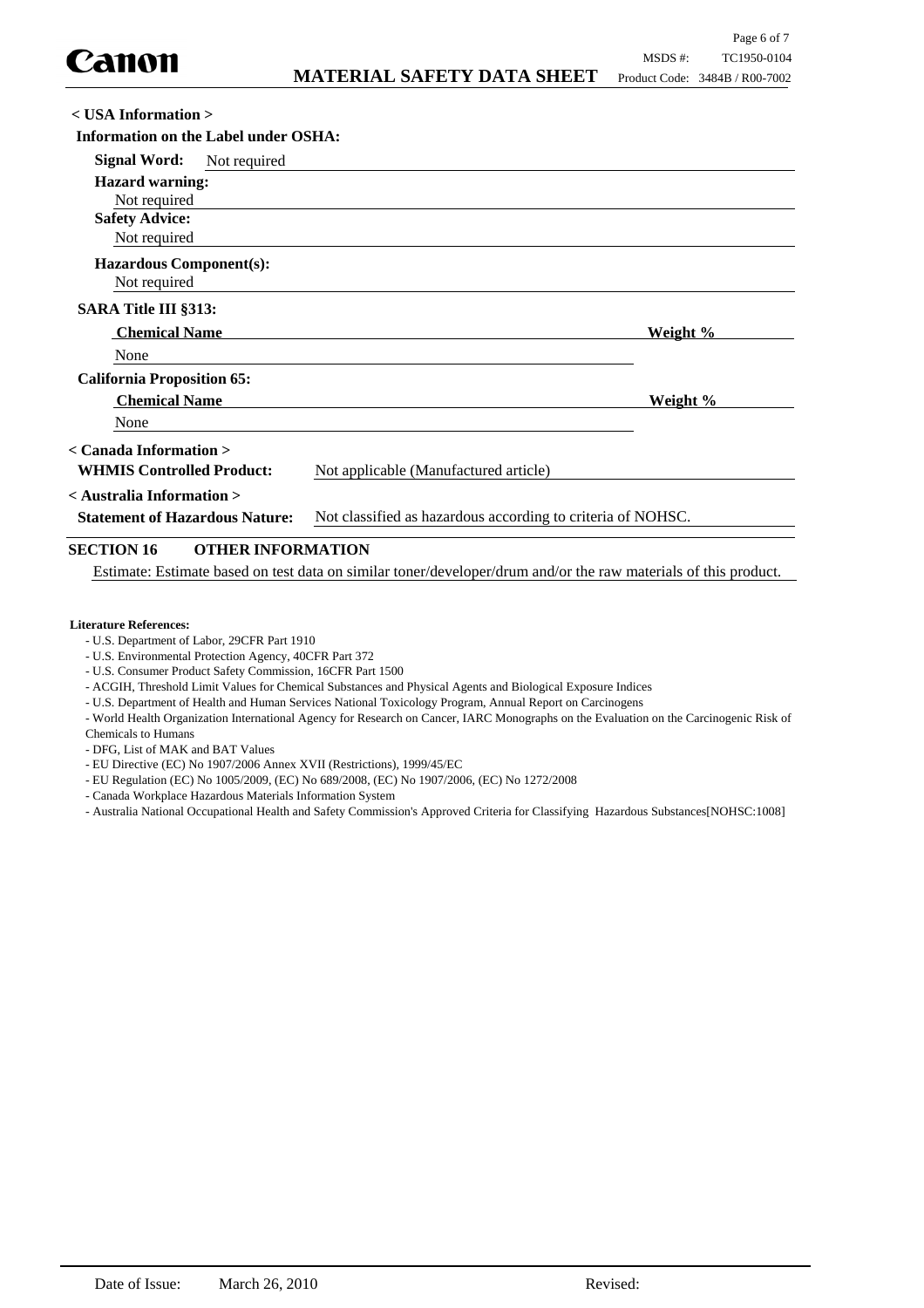| $\langle$ USA Information $\rangle$                                                                  |                                       |          |
|------------------------------------------------------------------------------------------------------|---------------------------------------|----------|
| Information on the Label under OSHA:                                                                 |                                       |          |
| <b>Signal Word:</b><br>Not required                                                                  |                                       |          |
| <b>Hazard warning:</b><br>Not required                                                               |                                       |          |
| <b>Safety Advice:</b><br>Not required                                                                |                                       |          |
| <b>Hazardous Component(s):</b><br>Not required                                                       |                                       |          |
| <b>SARA Title III §313:</b>                                                                          |                                       |          |
| <b>Chemical Name</b>                                                                                 |                                       | Weight % |
| None                                                                                                 |                                       |          |
| <b>California Proposition 65:</b>                                                                    |                                       |          |
| <b>Chemical Name</b>                                                                                 |                                       | Weight % |
| None                                                                                                 |                                       |          |
| < Canada Information >                                                                               |                                       |          |
| <b>WHMIS Controlled Product:</b>                                                                     | Not applicable (Manufactured article) |          |
| < Australia Information >                                                                            |                                       |          |
| Not classified as hazardous according to criteria of NOHSC.<br><b>Statement of Hazardous Nature:</b> |                                       |          |
| CECTION 16<br>$\Lambda$ tiied ine $\Lambda$ dm $\Lambda$ ti $\Lambda$ n                              |                                       |          |

# **SECTION 16 OTHER INFORMATION**

Estimate: Estimate based on test data on similar toner/developer/drum and/or the raw materials of this product.

#### **Literature References:**

- U.S. Department of Labor, 29CFR Part 1910
- U.S. Environmental Protection Agency, 40CFR Part 372
- U.S. Consumer Product Safety Commission, 16CFR Part 1500
- ACGIH, Threshold Limit Values for Chemical Substances and Physical Agents and Biological Exposure Indices
- U.S. Department of Health and Human Services National Toxicology Program, Annual Report on Carcinogens

- World Health Organization International Agency for Research on Cancer, IARC Monographs on the Evaluation on the Carcinogenic Risk of Chemicals to Humans

- DFG, List of MAK and BAT Values
- EU Directive (EC) No 1907/2006 Annex XVII (Restrictions), 1999/45/EC
- EU Regulation (EC) No 1005/2009, (EC) No 689/2008, (EC) No 1907/2006, (EC) No 1272/2008
- Canada Workplace Hazardous Materials Information System
- Australia National Occupational Health and Safety Commission's Approved Criteria for Classifying Hazardous Substances[NOHSC:1008]